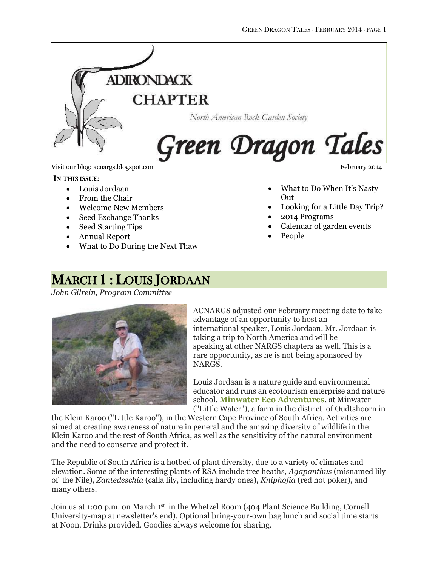

Visit our blog: acnargs.blogspot.com February 2014

#### IN THIS ISSUE:

- Louis Jordaan
- From the Chair
- Welcome New Members
- Seed Exchange Thanks
- Seed Starting Tips
- Annual Report
- What to Do During the Next Thaw

- What to Do When It's Nasty Out
- Looking for a Little Day Trip?
- 2014 Programs
- Calendar of garden events
- People

## MARCH 1 : LOUIS JORDAAN

*John Gilrein, Program Committee*



ACNARGS adjusted our February meeting date to take advantage of an opportunity to host an international speaker, Louis Jordaan. Mr. Jordaan is taking a trip to North America and will be speaking at other NARGS chapters as well. This is a rare opportunity, as he is not being sponsored by NARGS.

Louis Jordaan is a nature guide and environmental educator and runs an ecotourism enterprise and nature school, **[Minwater Eco Adventures](http://www.minwater.co.za/home.php)**, at Minwater ("Little Water"), a farm in the district of Oudtshoorn in

the Klein Karoo ("Little Karoo"), in the Western Cape Province of South Africa. Activities are aimed at creating awareness of nature in general and the amazing diversity of wildlife in the Klein Karoo and the rest of South Africa, as well as the sensitivity of the natural environment and the need to conserve and protect it.

The Republic of South Africa is a hotbed of plant diversity, due to a variety of climates and elevation. Some of the interesting plants of RSA include tree heaths, *Agapanthus* (misnamed lily of the Nile), *Zantedeschia* (calla lily, including hardy ones), *Kniphofia* (red hot poker), and many others.

Join us at 1:00 p.m. on March 1<sup>st</sup> in the Whetzel Room (404 Plant Science Building, Cornell University-map at newsletter's end). Optional bring-your-own bag lunch and social time starts at Noon. Drinks provided. Goodies always welcome for sharing.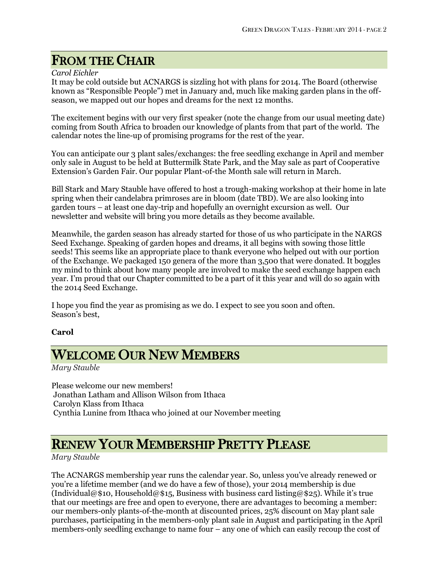## FROM THE CHAIR

*Carol Eichler*

It may be cold outside but ACNARGS is sizzling hot with plans for 2014. The Board (otherwise known as "Responsible People") met in January and, much like making garden plans in the offseason, we mapped out our hopes and dreams for the next 12 months.

The excitement begins with our very first speaker (note the change from our usual meeting date) coming from South Africa to broaden our knowledge of plants from that part of the world. The calendar notes the line-up of promising programs for the rest of the year.

You can anticipate our 3 plant sales/exchanges: the free seedling exchange in April and member only sale in August to be held at Buttermilk State Park, and the May sale as part of Cooperative Extension's Garden Fair. Our popular Plant-of-the Month sale will return in March.

Bill Stark and Mary Stauble have offered to host a trough-making workshop at their home in late spring when their candelabra primroses are in bloom (date TBD). We are also looking into garden tours – at least one day-trip and hopefully an overnight excursion as well. Our newsletter and website will bring you more details as they become available.

Meanwhile, the garden season has already started for those of us who participate in the NARGS Seed Exchange. Speaking of garden hopes and dreams, it all begins with sowing those little seeds! This seems like an appropriate place to thank everyone who helped out with our portion of the Exchange. We packaged 150 genera of the more than 3,500 that were donated. It boggles my mind to think about how many people are involved to make the seed exchange happen each year. I'm proud that our Chapter committed to be a part of it this year and will do so again with the 2014 Seed Exchange.

I hope you find the year as promising as we do. I expect to see you soon and often. Season's best,

### **Carol**

## WELCOME OUR NEW MEMBERS

*Mary Stauble*

Please welcome our new members! Jonathan Latham and Allison Wilson from Ithaca Carolyn Klass from Ithaca Cynthia Lunine from Ithaca who joined at our November meeting

## RENEW YOUR MEMBERSHIP PRETTY PLEASE

*Mary Stauble*

The ACNARGS membership year runs the calendar year. So, unless you've already renewed or you're a lifetime member (and we do have a few of those), your 2014 membership is due (Individual@\$10, Household@\$15, Business with business card listing@\$25). While it's true that our meetings are free and open to everyone, there are advantages to becoming a member: our members-only plants-of-the-month at discounted prices, 25% discount on May plant sale purchases, participating in the members-only plant sale in August and participating in the April members-only seedling exchange to name four – any one of which can easily recoup the cost of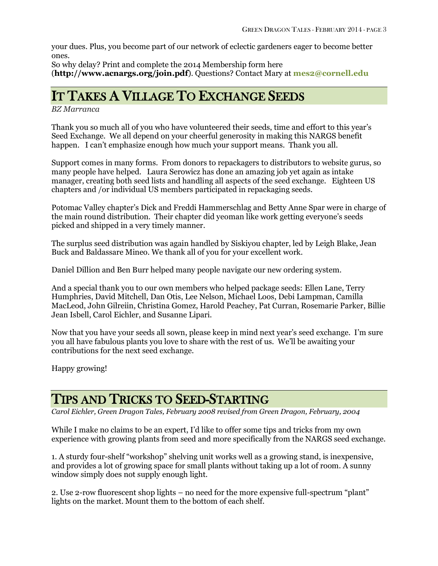your dues. Plus, you become part of our network of eclectic gardeners eager to become better ones.

So why delay? Print and complete the 2014 Membership form here

(**http://www.acnargs.org/join.pdf**). Questions? Contact Mary at **[mes2@cornell.edu](mailto:mes2@cornell.edu)**

## IT TAKES A VILLAGE TO EXCHANGE SEEDS

*BZ Marranca*

Thank you so much all of you who have volunteered their seeds, time and effort to this year's Seed Exchange. We all depend on your cheerful generosity in making this NARGS benefit happen. I can't emphasize enough how much your support means. Thank you all.

Support comes in many forms. From donors to repackagers to distributors to website gurus, so many people have helped. Laura Serowicz has done an amazing job yet again as intake manager, creating both seed lists and handling all aspects of the seed exchange. Eighteen US chapters and /or individual US members participated in repackaging seeds.

Potomac Valley chapter's Dick and Freddi Hammerschlag and Betty Anne Spar were in charge of the main round distribution. Their chapter did yeoman like work getting everyone's seeds picked and shipped in a very timely manner.

The surplus seed distribution was again handled by Siskiyou chapter, led by Leigh Blake, Jean Buck and Baldassare Mineo. We thank all of you for your excellent work.

Daniel Dillion and Ben Burr helped many people navigate our new ordering system.

And a special thank you to our own members who helped package seeds: Ellen Lane, Terry Humphries, David Mitchell, Dan Otis, Lee Nelson, Michael Loos, Debi Lampman, Camilla MacLeod, John Gilreiin, Christina Gomez, Harold Peachey, Pat Curran, Rosemarie Parker, Billie Jean Isbell, Carol Eichler, and Susanne Lipari.

Now that you have your seeds all sown, please keep in mind next year's seed exchange. I'm sure you all have fabulous plants you love to share with the rest of us. We'll be awaiting your contributions for the next seed exchange.

Happy growing!

## TIPS AND TRICKS TO SEED-STARTING

*Carol Eichler, Green Dragon Tales, February 2008 revised from Green Dragon, February, 2004*

While I make no claims to be an expert, I'd like to offer some tips and tricks from my own experience with growing plants from seed and more specifically from the NARGS seed exchange.

1. A sturdy four-shelf "workshop" shelving unit works well as a growing stand, is inexpensive, and provides a lot of growing space for small plants without taking up a lot of room. A sunny window simply does not supply enough light.

2. Use 2-row fluorescent shop lights – no need for the more expensive full-spectrum "plant" lights on the market. Mount them to the bottom of each shelf.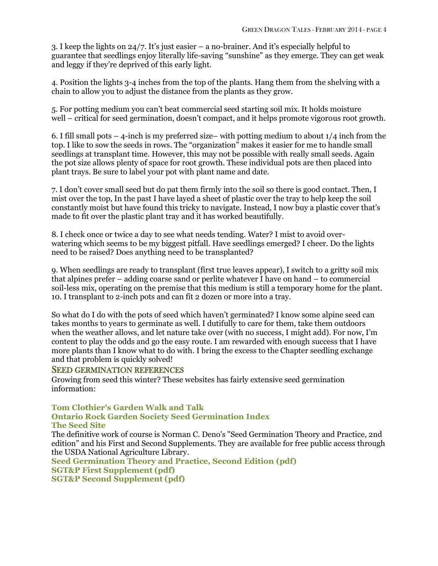3. I keep the lights on 24/7. It's just easier – a no-brainer. And it's especially helpful to guarantee that seedlings enjoy literally life-saving "sunshine" as they emerge. They can get weak and leggy if they're deprived of this early light.

4. Position the lights 3-4 inches from the top of the plants. Hang them from the shelving with a chain to allow you to adjust the distance from the plants as they grow.

5. For potting medium you can't beat commercial seed starting soil mix. It holds moisture well – critical for seed germination, doesn't compact, and it helps promote vigorous root growth.

6. I fill small pots  $-$  4-inch is my preferred size– with potting medium to about  $1/4$  inch from the top. I like to sow the seeds in rows. The "organization" makes it easier for me to handle small seedlings at transplant time. However, this may not be possible with really small seeds. Again the pot size allows plenty of space for root growth. These individual pots are then placed into plant trays. Be sure to label your pot with plant name and date.

7. I don't cover small seed but do pat them firmly into the soil so there is good contact. Then, I mist over the top, In the past I have layed a sheet of plastic over the tray to help keep the soil constantly moist but have found this tricky to navigate. Instead, I now buy a plastic cover that's made to fit over the plastic plant tray and it has worked beautifully.

8. I check once or twice a day to see what needs tending. Water? I mist to avoid overwatering which seems to be my biggest pitfall. Have seedlings emerged? I cheer. Do the lights need to be raised? Does anything need to be transplanted?

9. When seedlings are ready to transplant (first true leaves appear), I switch to a gritty soil mix that alpines prefer – adding coarse sand or perlite whatever I have on hand – to commercial soil-less mix, operating on the premise that this medium is still a temporary home for the plant. 10. I transplant to 2-inch pots and can fit 2 dozen or more into a tray.

So what do I do with the pots of seed which haven't germinated? I know some alpine seed can takes months to years to germinate as well. I dutifully to care for them, take them outdoors when the weather allows, and let nature take over (with no success, I might add). For now, I'm content to play the odds and go the easy route. I am rewarded with enough success that I have more plants than I know what to do with. I bring the excess to the Chapter seedling exchange and that problem is quickly solved!

#### SEED GERMINATION REFERENCES

Growing from seed this winter? These websites has fairly extensive seed germination information:

### **[Tom Clothier's Garden Walk and Talk](http://tomclothier.hort.net/)**

#### **[Ontario Rock Garden Society Seed Germination Index](http://webhome.idirect.com/~jehan/Information/orgsseedx.htm) [The Seed Site](http://theseedsite.co.uk/)**

The definitive work of course is Norman C. Deno's "Seed Germination Theory and Practice, 2nd edition" and his First and Second Supplements. They are available for free public access through the USDA National Agriculture Library.

**[Seed Germination Theory and Practice, Second Edition \(pdf\)](http://naldc.nal.usda.gov/download/41278/PDF) [SGT&P First Supplement \(pdf\)](http://naldc.nal.usda.gov/download/41279/PDF) [SGT&P Second Supplement \(pdf\)](http://naldc.nal.usda.gov/download/41277/PDF)**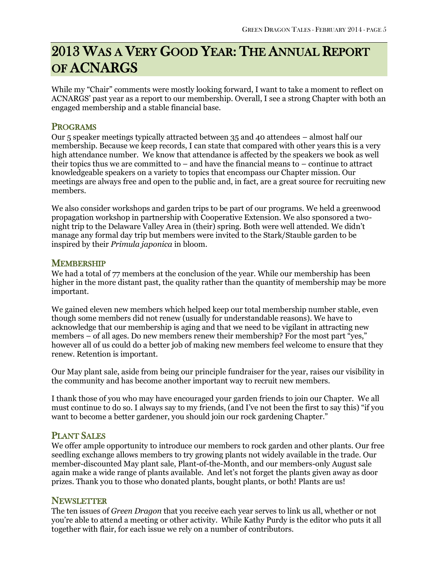# 2013 WAS A VERY GOOD YEAR: THE ANNUAL REPORT OF ACNARGS

While my "Chair" comments were mostly looking forward, I want to take a moment to reflect on ACNARGS' past year as a report to our membership. Overall, I see a strong Chapter with both an engaged membership and a stable financial base.

### PROGRAMS

Our 5 speaker meetings typically attracted between 35 and 40 attendees – almost half our membership. Because we keep records, I can state that compared with other years this is a very high attendance number. We know that attendance is affected by the speakers we book as well their topics thus we are committed to  $-$  and have the financial means to  $-$  continue to attract knowledgeable speakers on a variety to topics that encompass our Chapter mission. Our meetings are always free and open to the public and, in fact, are a great source for recruiting new members.

We also consider workshops and garden trips to be part of our programs. We held a greenwood propagation workshop in partnership with Cooperative Extension. We also sponsored a twonight trip to the Delaware Valley Area in (their) spring. Both were well attended. We didn't manage any formal day trip but members were invited to the Stark/Stauble garden to be inspired by their *Primula japonica* in bloom.

### **MEMBERSHIP**

We had a total of  $77$  members at the conclusion of the year. While our membership has been higher in the more distant past, the quality rather than the quantity of membership may be more important.

We gained eleven new members which helped keep our total membership number stable, even though some members did not renew (usually for understandable reasons). We have to acknowledge that our membership is aging and that we need to be vigilant in attracting new members – of all ages. Do new members renew their membership? For the most part "yes," however all of us could do a better job of making new members feel welcome to ensure that they renew. Retention is important.

Our May plant sale, aside from being our principle fundraiser for the year, raises our visibility in the community and has become another important way to recruit new members.

I thank those of you who may have encouraged your garden friends to join our Chapter. We all must continue to do so. I always say to my friends, (and I've not been the first to say this) "if you want to become a better gardener, you should join our rock gardening Chapter."

### PLANT SALES

We offer ample opportunity to introduce our members to rock garden and other plants. Our free seedling exchange allows members to try growing plants not widely available in the trade. Our member-discounted May plant sale, Plant-of-the-Month, and our members-only August sale again make a wide range of plants available. And let's not forget the plants given away as door prizes. Thank you to those who donated plants, bought plants, or both! Plants are us!

### **NEWSLETTER**

The ten issues of *Green Dragon* that you receive each year serves to link us all, whether or not you're able to attend a meeting or other activity. While Kathy Purdy is the editor who puts it all together with flair, for each issue we rely on a number of contributors.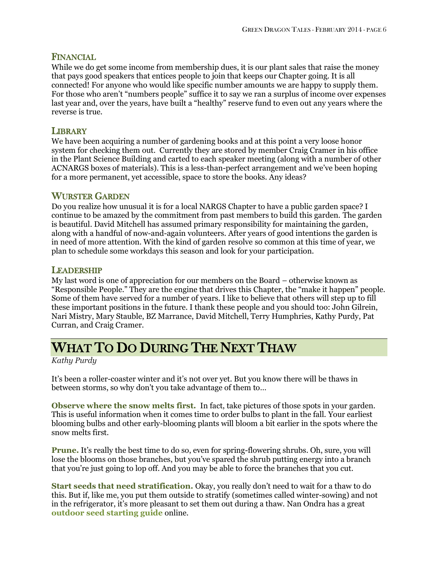### FINANCIAL

While we do get some income from membership dues, it is our plant sales that raise the money that pays good speakers that entices people to join that keeps our Chapter going. It is all connected! For anyone who would like specific number amounts we are happy to supply them. For those who aren't "numbers people" suffice it to say we ran a surplus of income over expenses last year and, over the years, have built a "healthy" reserve fund to even out any years where the reverse is true.

### **LIBRARY**

We have been acquiring a number of gardening books and at this point a very loose honor system for checking them out. Currently they are stored by member Craig Cramer in his office in the Plant Science Building and carted to each speaker meeting (along with a number of other ACNARGS boxes of materials). This is a less-than-perfect arrangement and we've been hoping for a more permanent, yet accessible, space to store the books. Any ideas?

### WURSTER GARDEN

Do you realize how unusual it is for a local NARGS Chapter to have a public garden space? I continue to be amazed by the commitment from past members to build this garden. The garden is beautiful. David Mitchell has assumed primary responsibility for maintaining the garden, along with a handful of now-and-again volunteers. After years of good intentions the garden is in need of more attention. With the kind of garden resolve so common at this time of year, we plan to schedule some workdays this season and look for your participation.

### **LEADERSHIP**

My last word is one of appreciation for our members on the Board – otherwise known as "Responsible People." They are the engine that drives this Chapter, the "make it happen" people. Some of them have served for a number of years. I like to believe that others will step up to fill these important positions in the future. I thank these people and you should too: John Gilrein, Nari Mistry, Mary Stauble, BZ Marrance, David Mitchell, Terry Humphries, Kathy Purdy, Pat Curran, and Craig Cramer.

## WHAT TO DO DURING THE NEXT THAW

*Kathy Purdy*

It's been a roller-coaster winter and it's not over yet. But you know there will be thaws in between storms, so why don't you take advantage of them to…

**Observe where the snow melts first.** In fact, take pictures of those spots in your garden. This is useful information when it comes time to order bulbs to plant in the fall. Your earliest blooming bulbs and other early-blooming plants will bloom a bit earlier in the spots where the snow melts first.

**Prune.** It's really the best time to do so, even for spring-flowering shrubs. Oh, sure, you will lose the blooms on those branches, but you've spared the shrub putting energy into a branch that you're just going to lop off. And you may be able to force the branches that you cut.

**Start seeds that need stratification.** Okay, you really don't need to wait for a thaw to do this. But if, like me, you put them outside to stratify (sometimes called winter-sowing) and not in the refrigerator, it's more pleasant to set them out during a thaw. Nan Ondra has a great **[outdoor seed starting guide](http://hayefield.com/2013/02/15/the-science-of-seed-germination/)** online.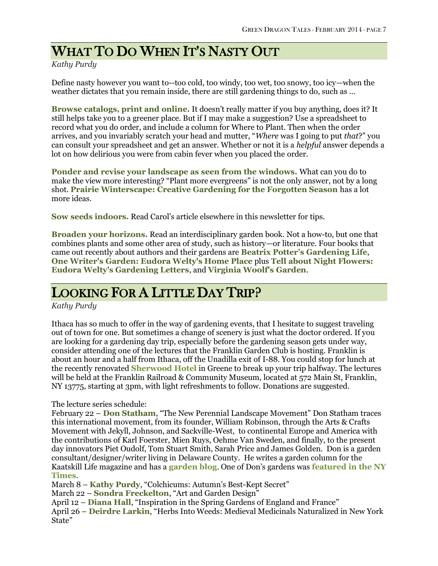# WHAT TO DO WHEN IT'S NASTY OUT

*Kathy Purdy*

Define nasty however you want to--too cold, too windy, too wet, too snowy, too icy—when the weather dictates that you remain inside, there are still gardening things to do, such as …

**Browse catalogs, print and online.** It doesn't really matter if you buy anything, does it? It still helps take you to a greener place. But if I may make a suggestion? Use a spreadsheet to record what you do order, and include a column for Where to Plant. Then when the order arrives, and you invariably scratch your head and mutter, "*Where* was I going to put *that*?" you can consult your spreadsheet and get an answer. Whether or not it is a *helpful* answer depends a lot on how delirious you were from cabin fever when you placed the order.

**Ponder and revise your landscape as seen from the windows.** What can you do to make the view more interesting? "Plant more evergreens" is not the only answer, not by a long shot. **Prairie Winterscape: Creative Gardening for the Forgotten Season** has a lot more ideas.

**Sow seeds indoors.** Read Carol's article elsewhere in this newsletter for tips.

**Broaden your horizons.** Read an interdisciplinary garden book. Not a how-to, but one that combines plants and some other area of study, such as history—or literature. Four books that came out recently about authors and their gardens are **Beatrix Potter's Gardening Life**, **One Writer's Garden: Eudora Welty's Home Place** plus **Tell about Night Flowers: Eudora Welty's Gardening Letters**, and **Virginia Woolf's Garden**.

## LOOKING FOR A LITTLE DAY TRIP?

*Kathy Purdy*

Ithaca has so much to offer in the way of gardening events, that I hesitate to suggest traveling out of town for one. But sometimes a change of scenery is just what the doctor ordered. If you are looking for a gardening day trip, especially before the gardening season gets under way, consider attending one of the lectures that the Franklin Garden Club is hosting. Franklin is about an hour and a half from Ithaca, off the Unadilla exit of I-88. You could stop for lunch at the recently renovated **[Sherwood Hotel](http://www.thesherwoodhotel.com/)** in Greene to break up your trip halfway. The lectures will be held at the Franklin Railroad & Community Museum, located at 572 Main St, Franklin, NY 13775, starting at 3pm, with light refreshments to follow. Donations are suggested.

#### The lecture series schedule:

February 22 – **Don Statham**, "The New Perennial Landscape Movement" Don Statham traces this international movement, from its founder, William Robinson, through the Arts & Crafts Movement with Jekyll, Johnson, and Sackville-West, to continental Europe and America with the contributions of Karl Foerster, Mien Ruys, Oehme Van Sweden, and finally, to the present day innovators Piet Oudolf, Tom Stuart Smith, Sarah Price and James Golden. Don is a garden consultant/designer/writer living in Delaware County. He writes a garden column for the Kaatskill Life magazine and has a **[garden blog](http://donstathamblog.com/)**. One of Don's gardens was **[featured in the NY](http://www.nytimes.com/2009/06/04/garden/04reno.html?_r=2&hpw&)  [Times](http://www.nytimes.com/2009/06/04/garden/04reno.html?_r=2&hpw&)**.

March 8 – **Kathy Purdy**, "Colchicums: Autumn's Best-Kept Secret"

March 22 – **[Sondra Freckelton](http://www.stewartstewart.com/artists/freckelton_sondra/)**, "Art and Garden Design"

April 12 – **Diana Hall**, "Inspiration in the Spring Gardens of England and France" April 26 – **[Deirdre Larkin](http://www.bbg.org/about/people/deirdre_larkin)**, "Herbs Into Weeds: Medieval Medicinals Naturalized in New York State"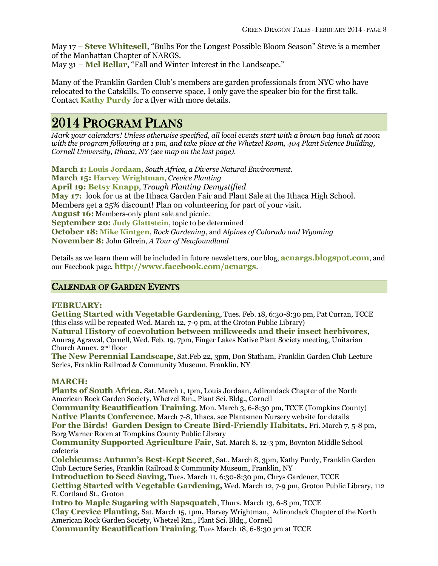May 17 – **Steve Whitesell**, "Bulbs For the Longest Possible Bloom Season" Steve is a member of the Manhattan Chapter of NARGS.

May 31 – **Mel Bellar**, "Fall and Winter Interest in the Landscape."

Many of the Franklin Garden Club's members are garden professionals from NYC who have relocated to the Catskills. To conserve space, I only gave the speaker bio for the first talk. Contact **[Kathy Purdy](mailto:kopurdy@gmail.com)** for a flyer with more details.

## 2014 PROGRAM PLANS

*Mark your calendars! Unless otherwise specified, all local events start with a brown bag lunch at noon with the program following at 1 pm, and take place at the Whetzel Room, 404 Plant Science Building, Cornell University, Ithaca, NY (see map on the last page).*

**March 1: [Louis Jordaan](http://www.minwater.co.za/home.php)**, *South Africa, a Diverse Natural Environment*. **March 15: [Harvey Wrightman](http://www.wrightmanalpines.com/)**, *Crevice Planting* **April 19: [Betsy Knapp](http://betsyknapp.wordpress.com/)**, *Trough Planting Demystified* **May 17:** look for us at the Ithaca Garden Fair and Plant Sale at the Ithaca High School. Members get a 25% discount! Plan on volunteering for part of your visit. **August 16:** Members-only plant sale and picnic. **September 20: [Judy Glattstein](http://www.bellewood-gardens.com/)**, topic to be determined **October 18: [Mike Kintgen](http://www.botanicgardens.org/users/mike-kintgen)**, *Rock Gardening*, and *Alpines of Colorado and Wyoming* **November 8:** John Gilrein, *A Tour of Newfoundland*

Details as we learn them will be included in future newsletters, our blog, **[acnargs.blogspot.com](http://acnargs.blogspot.com/)**, and our Facebook page, **[http://www.facebook.com/acnargs](http://acnargs.blogspot.com/)**.

### CALENDAR OF GARDEN EVENTS

#### **FEBRUARY:**

**Getting Started with Vegetable Gardening**, Tues. Feb. 18, 6:30-8:30 pm, Pat Curran, TCCE (this class will be repeated Wed. March 12, 7-9 pm, at the Groton Public Library)

**Natural History of coevolution between milkweeds and their insect herbivores**, Anurag Agrawal, Cornell, Wed. Feb. 19, 7pm, Finger Lakes Native Plant Society meeting, Unitarian Church Annex, 2nd floor

**The New Perennial Landscape**, Sat.Feb 22, 3pm, Don Statham, Franklin Garden Club Lecture Series, Franklin Railroad & Community Museum, Franklin, NY

#### **MARCH:**

**Plants of South Africa***,* Sat. March 1, 1pm, Louis Jordaan, Adirondack Chapter of the North American Rock Garden Society, Whetzel Rm., Plant Sci. Bldg., Cornell

**Community Beautification Training**, Mon. March 3, 6-8:30 pm, TCCE (Tompkins County) **Native Plants Conference**, March 7-8, Ithaca, see Plantsmen Nursery website for details **For the Birds! Garden Design to Create Bird-Friendly Habitats***,* Fri. March 7, 5-8 pm, Borg Warner Room at Tompkins County Public Library

**Community Supported Agriculture Fair***,* Sat. March 8, 12-3 pm, Boynton Middle School cafeteria

**Colchicums: Autumn's Best-Kept Secret**, Sat., March 8, 3pm, Kathy Purdy, Franklin Garden Club Lecture Series, Franklin Railroad & Community Museum, Franklin, NY

**Introduction to Seed Saving***,* Tues. March 11, 6:30-8:30 pm, Chrys Gardener, TCCE

**Getting Started with Vegetable Gardening***,* Wed. March 12, 7-9 pm, Groton Public Library, 112 E. Cortland St., Groton

**Intro to Maple Sugaring with Sapsquatch**, Thurs. March 13, 6-8 pm, TCCE **Clay Crevice Planting***,* Sat. March 15, 1pm*,* Harvey Wrightman, Adirondack Chapter of the North American Rock Garden Society, Whetzel Rm., Plant Sci. Bldg., Cornell

**Community Beautification Training**, Tues March 18, 6-8:30 pm at TCCE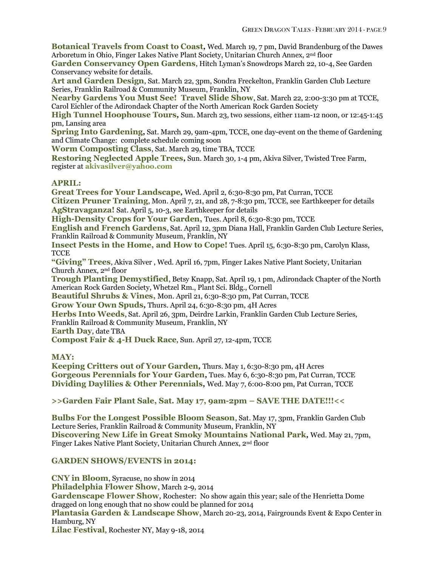**Botanical Travels from Coast to Coast***,* Wed. March 19, 7 pm, David Brandenburg of the Dawes Arboretum in Ohio, Finger Lakes Native Plant Society, Unitarian Church Annex, 2nd floor

**Garden Conservancy Open Gardens**, Hitch Lyman's Snowdrops March 22, 10-4, See Garden Conservancy website for details.

**Art and Garden Design**, Sat. March 22, 3pm, Sondra Freckelton, Franklin Garden Club Lecture Series, Franklin Railroad & Community Museum, Franklin, NY

**Nearby Gardens You Must See! Travel Slide Show**, Sat. March 22, 2:00-3:30 pm at TCCE, Carol Eichler of the Adirondack Chapter of the North American Rock Garden Society

**High Tunnel Hoophouse Tours***,* Sun. March 23, two sessions, either 11am-12 noon, or 12:45-1:45 pm, Lansing area

**Spring Into Gardening***,* Sat. March 29, 9am-4pm, TCCE, one day-event on the theme of Gardening and Climate Change: complete schedule coming soon

**Worm Composting Class**, Sat. March 29, time TBA, TCCE

**Restoring Neglected Apple Trees***,* Sun. March 30, 1-4 pm, Akiva Silver, Twisted Tree Farm, register at **[akivasilver@yahoo.com](mailto:akivasilver@yahoo.com)**

#### **APRIL:**

**Great Trees for Your Landscape***,* Wed. April 2, 6:30-8:30 pm, Pat Curran, TCCE **Citizen Pruner Training**, Mon. April 7, 21, and 28, 7-8:30 pm, TCCE, see Earthkeeper for details **AgStravaganza!** Sat. April 5, 10-3, see Earthkeeper for details

**High-Density Crops for Your Garden,** Tues. April 8, 6:30-8:30 pm, TCCE

**English and French Gardens**, Sat. April 12, 3pm Diana Hall, Franklin Garden Club Lecture Series, Franklin Railroad & Community Museum, Franklin, NY

**Insect Pests in the Home, and How to Cope!** Tues. April 15, 6:30-8:30 pm, Carolyn Klass, **TCCE** 

**"Giving" Trees**, Akiva Silver , Wed. April 16, 7pm, Finger Lakes Native Plant Society, Unitarian Church Annex, 2nd floor

**Trough Planting Demystified**, Betsy Knapp, Sat. April 19, 1 pm, Adirondack Chapter of the North American Rock Garden Society, Whetzel Rm., Plant Sci. Bldg., Cornell

**Beautiful Shrubs & Vines,** Mon. April 21, 6:30-8:30 pm, Pat Curran, TCCE

**Grow Your Own Spuds***,* Thurs. April 24, 6:30-8:30 pm, 4H Acres

**Herbs Into Weeds**, Sat. April 26, 3pm, Deirdre Larkin, Franklin Garden Club Lecture Series,

Franklin Railroad & Community Museum, Franklin, NY

**Earth Day**, date TBA

**Compost Fair & 4-H Duck Race**, Sun. April 27, 12-4pm, TCCE

#### **MAY:**

**Keeping Critters out of Your Garden***,* Thurs. May 1, 6:30-8:30 pm, 4H Acres **Gorgeous Perennials for Your Garden***,* Tues. May 6, 6:30-8:30 pm, Pat Curran, TCCE **Dividing Daylilies & Other Perennials***,* Wed. May 7, 6:00-8:00 pm, Pat Curran, TCCE

#### **>>Garden Fair Plant Sale, Sat. May 17, 9am-2pm – SAVE THE DATE!!!<<**

**Bulbs For the Longest Possible Bloom Season**, Sat. May 17, 3pm, Franklin Garden Club Lecture Series, Franklin Railroad & Community Museum, Franklin, NY **Discovering New Life in Great Smoky Mountains National Park***,* Wed. May 21, 7pm, Finger Lakes Native Plant Society, Unitarian Church Annex, 2nd floor

#### **GARDEN SHOWS/EVENTS in 2014:**

**CNY in Bloom**, Syracuse, no show in 2014 **Philadelphia Flower Show**, March 2-9, 2014 **Gardenscape Flower Show, Rochester:** No show again this year; sale of the Henrietta Dome dragged on long enough that no show could be planned for 2014 **Plantasia Garden & Landscape Show**, March 20-23, 2014, Fairgrounds Event & Expo Center in Hamburg, NY **Lilac Festival**, Rochester NY, May 9-18, 2014